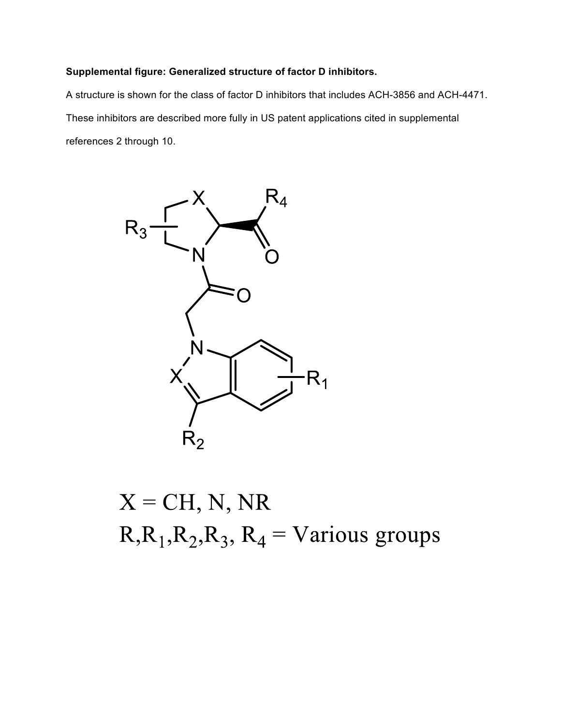## **Supplemental figure: Generalized structure of factor D inhibitors.**

A structure is shown for the class of factor D inhibitors that includes ACH-3856 and ACH-4471. These inhibitors are described more fully in US patent applications cited in supplemental references 2 through 10.



 $X = CH, N, NR$  $R_1, R_2, R_3, R_4 = \text{Various groups}$